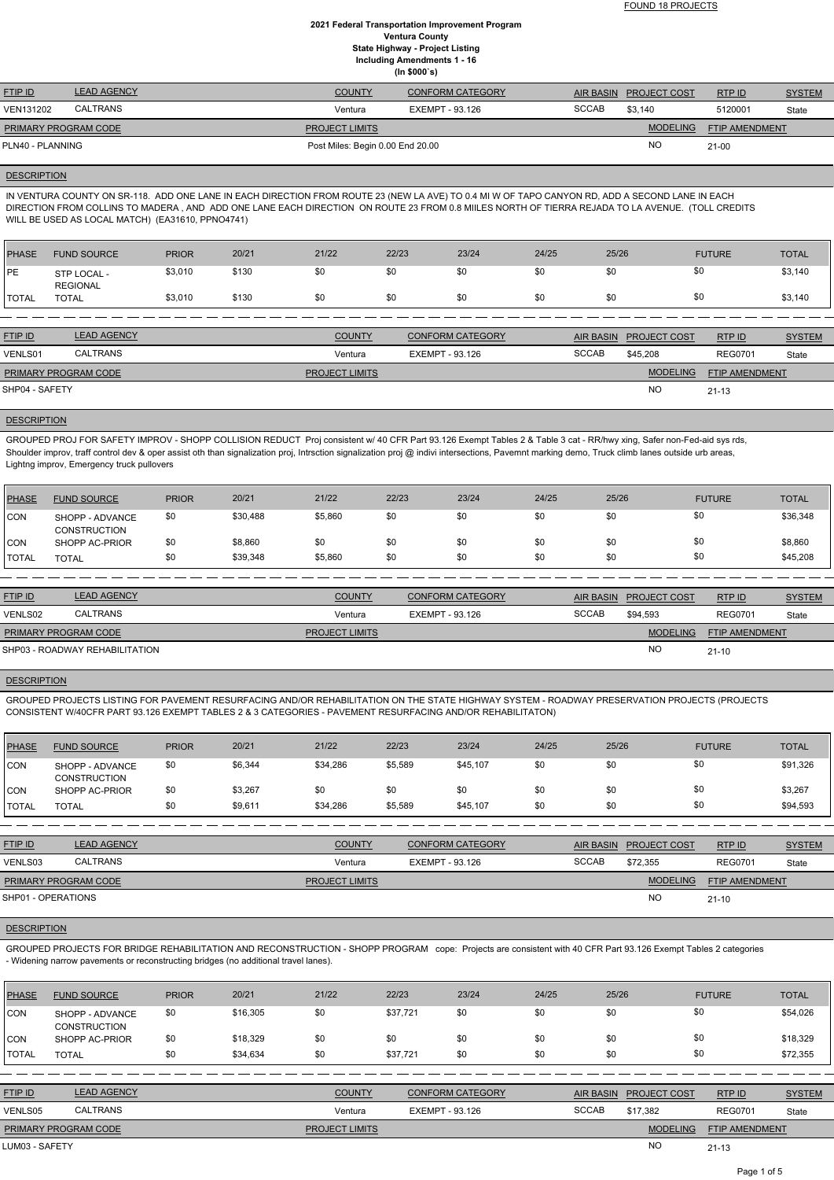| <b>FTIP ID</b>              | <b>LEAD AGENCY</b> | <b>COUNTY</b>                    | <b>CONFORM CATEGORY</b> |              | AIR BASIN PROJECT COST | RTP ID                | <b>SYSTEM</b> |
|-----------------------------|--------------------|----------------------------------|-------------------------|--------------|------------------------|-----------------------|---------------|
| VEN131202                   | CALTRANS           | Ventura                          | EXEMPT - 93.126         | <b>SCCAB</b> | \$3,140                | 5120001               | State         |
| <b>PRIMARY PROGRAM CODE</b> |                    | <b>PROJECT LIMITS</b>            |                         |              | <b>MODELING</b>        | <b>FTIP AMENDMENT</b> |               |
| PLN40 - PLANNING            |                    | Post Miles: Begin 0.00 End 20.00 |                         |              | NO                     | $21 - 00$             |               |

#### **DESCRIPTION**

IN VENTURA COUNTY ON SR-118. ADD ONE LANE IN EACH DIRECTION FROM ROUTE 23 (NEW LA AVE) TO 0.4 MI W OF TAPO CANYON RD, ADD A SECOND LANE IN EACH DIRECTION FROM COLLINS TO MADERA , AND ADD ONE LANE EACH DIRECTION ON ROUTE 23 FROM 0.8 MIILES NORTH OF TIERRA REJADA TO LA AVENUE. (TOLL CREDITS WILL BE USED AS LOCAL MATCH) (EA31610, PPNO4741)

| <b>PHASE</b>  | <b>FUND SOURCE</b>             | <b>PRIOR</b> | 20/21 | 21/22 | 22/23 | 23/24 | 24/25 | 25/26 | <b>FUTURE</b> | <b>TOTAL</b> |
|---------------|--------------------------------|--------------|-------|-------|-------|-------|-------|-------|---------------|--------------|
| <b>PE</b>     | STP LOCAL -<br><b>REGIONAL</b> | \$3,010      | \$130 | \$0   | \$0   | \$0   | \$0   | \$0   | \$0           | \$3,140      |
| <b>ITOTAL</b> | <b>TOTAL</b>                   | \$3,010      | \$130 | \$0   | \$0   | \$0   | \$0   | \$0   | \$0           | \$3,140      |
|               |                                |              |       |       |       |       |       |       |               |              |

| <b>FTIP ID</b>       | <b>LEAD AGENCY</b> | <b>COUNTY</b>         | <b>CONFORM CATEGORY</b> |              | AIR BASIN PROJECT COST | RTP ID                | <b>SYSTEM</b> |
|----------------------|--------------------|-----------------------|-------------------------|--------------|------------------------|-----------------------|---------------|
| VENLS01              | CALTRANS           | Ventura               | EXEMPT - 93.126         | <b>SCCAB</b> | \$45.208               | <b>REG0701</b>        | State         |
| PRIMARY PROGRAM CODE |                    | <b>PROJECT LIMITS</b> |                         |              | MODELING               | <b>FTIP AMENDMENT</b> |               |
| SHP04 - SAFETY       |                    |                       |                         |              | <b>NC</b>              | $21 - 13$             |               |

#### **DESCRIPTION**

GROUPED PROJ FOR SAFETY IMPROV - SHOPP COLLISION REDUCT Proj consistent w/ 40 CFR Part 93.126 Exempt Tables 2 & Table 3 cat - RR/hwy xing, Safer non-Fed-aid sys rds, Shoulder improv, traff control dev & oper assist oth than signalization proj, Intrsction signalization proj @ indivi intersections, Pavemnt marking demo, Truck climb lanes outside urb areas, Lightng improv, Emergency truck pullovers

| <b>PHASE</b> | <b>FUND SOURCE</b>                     | <b>PRIOR</b> | 20/21    | 21/22   | 22/23 | 23/24 | 24/25 | 25/26 | <b>FUTURE</b> | <b>TOTAL</b> |
|--------------|----------------------------------------|--------------|----------|---------|-------|-------|-------|-------|---------------|--------------|
| <b>CON</b>   | SHOPP - ADVANCE<br><b>CONSTRUCTION</b> | \$0          | \$30,488 | \$5,860 | \$0   | \$0   | \$0   | \$0   |               | \$36,348     |
| <b>CON</b>   | SHOPP AC-PRIOR                         | \$0          | \$8,860  | \$0     | \$0   | \$0   | \$0   | \$0   | \$0           | \$8,860      |
| <b>TOTAL</b> | TOTAL                                  | \$0          | \$39,348 | \$5,860 | \$0   | \$0   | \$0   | \$0   | \$0           | \$45,208     |

| <b>FTIP ID</b>              | <b>LEAD AGENCY</b>             | <b>COUNTY</b>         | <b>CONFORM CATEGORY</b> |              | AIR BASIN PROJECT COST | RTPID                 | <b>SYSTEM</b> |
|-----------------------------|--------------------------------|-----------------------|-------------------------|--------------|------------------------|-----------------------|---------------|
| VENLS02                     | <b>CALTRANS</b>                | Ventura               | EXEMPT - 93.126         | <b>SCCAB</b> | \$94.593               | <b>REG0701</b>        | State         |
| <b>PRIMARY PROGRAM CODE</b> |                                | <b>PROJECT LIMITS</b> |                         |              | <b>MODELING</b>        | <b>FTIP AMENDMENT</b> |               |
|                             | SHP03 - ROADWAY REHABILITATION |                       |                         |              | <b>NO</b>              | $21 - 10$             |               |

#### **DESCRIPTION**

GROUPED PROJECTS LISTING FOR PAVEMENT RESURFACING AND/OR REHABILITATION ON THE STATE HIGHWAY SYSTEM - ROADWAY PRESERVATION PROJECTS (PROJECTS CONSISTENT W/40CFR PART 93.126 EXEMPT TABLES 2 & 3 CATEGORIES - PAVEMENT RESURFACING AND/OR REHABILITATON)

| PHASE        | <b>FUND SOURCE</b>                     | <b>PRIOR</b> | 20/21   | 21/22    | 22/23   | 23/24    | 24/25 | 25/26 | <b>FUTURE</b> | <b>TOTAL</b> |
|--------------|----------------------------------------|--------------|---------|----------|---------|----------|-------|-------|---------------|--------------|
| CON          | SHOPP - ADVANCE<br><b>CONSTRUCTION</b> | \$0          | \$6,344 | \$34,286 | \$5,589 | \$45,107 | \$0   | \$0   | \$0           | \$91,326     |
| CON          | SHOPP AC-PRIOR                         | \$0          | \$3,267 | \$0      | \$0     | \$0      | \$0   | \$0   | \$0           | \$3,267      |
| <b>TOTAL</b> | <b>TOTAL</b>                           | \$0          | \$9,611 | \$34,286 | \$5,589 | \$45,107 | \$0   | \$0   | \$0           | \$94,593     |

| <b>FTIP ID</b>              | <b>LEAD AGENCY</b> | <b>COUNTY</b>         | CONFORM CATEGORY | <b>AIR BASIN</b> | <b>PROJECT COST</b> | RTPID                 | <b>SYSTEM</b> |
|-----------------------------|--------------------|-----------------------|------------------|------------------|---------------------|-----------------------|---------------|
| VENLS03                     | CALTRANS           | Ventura               | EXEMPT - 93.126  | <b>SCCAB</b>     | \$72.355            | <b>REG0701</b>        | State         |
| <b>PRIMARY PROGRAM CODE</b> |                    | <b>PROJECT LIMITS</b> |                  |                  | <b>MODELING</b>     | <b>FTIP AMENDMENT</b> |               |

### **DESCRIPTION**

GROUPED PROJECTS FOR BRIDGE REHABILITATION AND RECONSTRUCTION - SHOPP PROGRAM cope: Projects are consistent with 40 CFR Part 93.126 Exempt Tables 2 categories - Widening narrow pavements or reconstructing bridges (no additional travel lanes).

| <b>PHASE</b>   | <b>FUND SOURCE</b>                     | <b>PRIOR</b> | 20/21    | 21/22                 | 22/23    | 23/24                   | 24/25 | 25/26            |                     | <b>FUTURE</b>         | <b>TOTAL</b>  |
|----------------|----------------------------------------|--------------|----------|-----------------------|----------|-------------------------|-------|------------------|---------------------|-----------------------|---------------|
| CON            | SHOPP - ADVANCE<br><b>CONSTRUCTION</b> | \$0          | \$16,305 | \$0                   | \$37,721 | \$0                     | \$0   | \$0              | \$0                 |                       | \$54,026      |
| CON            | SHOPP AC-PRIOR                         | \$0          | \$18,329 | \$0                   | \$0      | \$0                     | \$0   | \$0              | \$0                 |                       | \$18,329      |
| <b>TOTAL</b>   | <b>TOTAL</b>                           | \$0          | \$34,634 | \$0                   | \$37,721 | \$0                     | \$0   | \$0              | \$0                 |                       | \$72,355      |
|                |                                        |              |          |                       |          |                         |       |                  |                     |                       |               |
| <b>FTIP ID</b> | <b>LEAD AGENCY</b>                     |              |          | <b>COUNTY</b>         |          | <b>CONFORM CATEGORY</b> |       | <b>AIR BASIN</b> | <b>PROJECT COST</b> | <b>RTPID</b>          | <b>SYSTEM</b> |
| VENLS05        | <b>CALTRANS</b>                        |              |          | Ventura               |          | EXEMPT - 93.126         |       | <b>SCCAB</b>     | \$17.382            | <b>REG0701</b>        | State         |
|                | PRIMARY PROGRAM CODE                   |              |          | <b>PROJECT LIMITS</b> |          |                         |       |                  | <b>MODELING</b>     | <b>FTIP AMENDMENT</b> |               |
| LUM03 - SAFETY |                                        |              |          |                       |          |                         |       |                  | <b>NO</b>           | $21 - 13$             |               |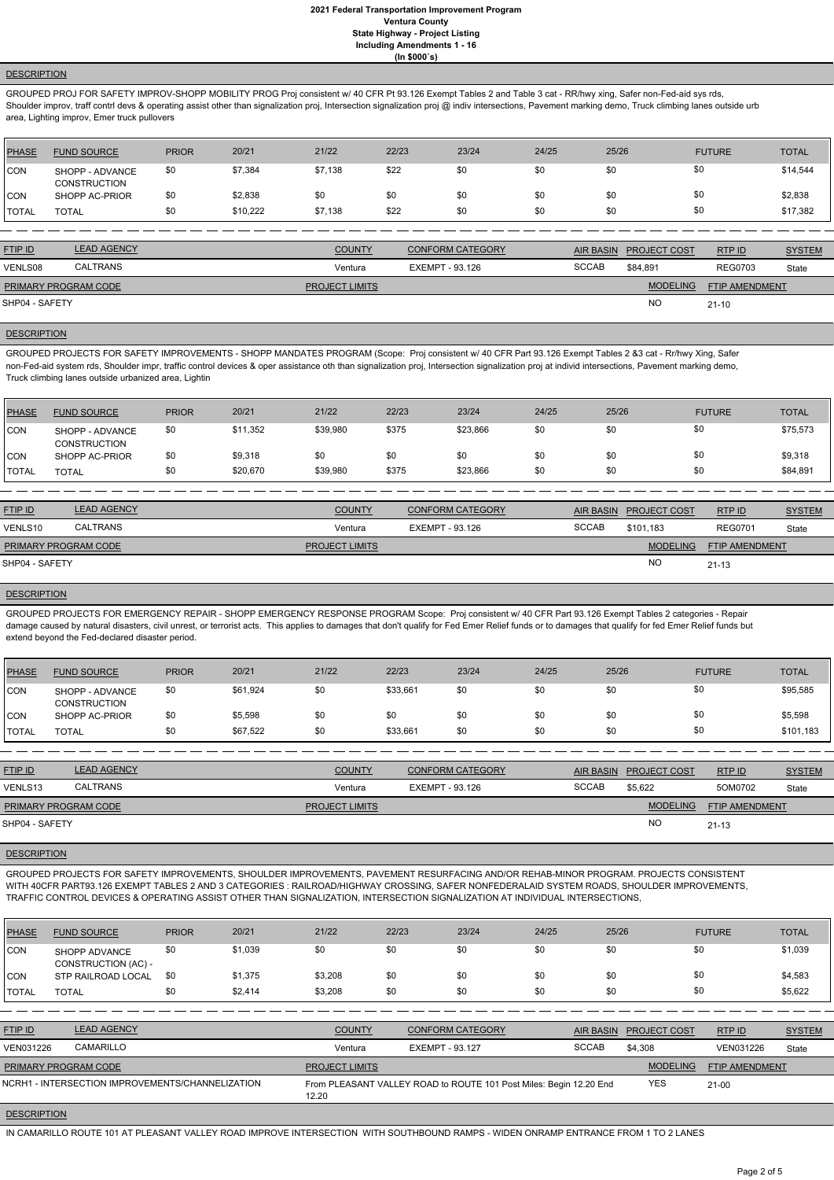#### **DESCRIPTION**

GROUPED PROJ FOR SAFETY IMPROV-SHOPP MOBILITY PROG Proj consistent w/ 40 CFR Pt 93.126 Exempt Tables 2 and Table 3 cat - RR/hwy xing, Safer non-Fed-aid sys rds, Shoulder improv, traff contrl devs & operating assist other than signalization proj, Intersection proj @ indiv intersections, Pavement marking demo, Truck climbing lanes outside urb area, Lighting improv, Emer truck pullovers

| <b>PHASE</b> | <b>FUND SOURCE</b>                     | <b>PRIOR</b> | 20/21    | 21/22   | 22/23 | 23/24 | 24/25 | 25/26 | <b>FUTURE</b> | <b>TOTAL</b> |
|--------------|----------------------------------------|--------------|----------|---------|-------|-------|-------|-------|---------------|--------------|
| <b>CON</b>   | SHOPP - ADVANCE<br><b>CONSTRUCTION</b> | \$0          | \$7,384  | \$7,138 | \$22  | \$0   | \$0   | \$0   | \$0           | \$14,544     |
| <b>CON</b>   | SHOPP AC-PRIOR                         | \$0          | \$2,838  | \$0     | \$0   | \$0   | \$0   |       | \$0           | \$2,838      |
| <b>TOTAL</b> | <b>TOTAL</b>                           | \$0          | \$10.222 | \$7,138 | \$22  | \$0   | \$0   | \$0   | \$0           | \$17,382     |

| <b>FTIP ID</b>              | <b>LEAD AGENCY</b> | <b>COUNTY</b>         | <b>CONFORM CATEGORY</b> | AIR BASIN    | <b>PROJECT COST</b> | RTP ID                | <b>SYSTEM</b> |
|-----------------------------|--------------------|-----------------------|-------------------------|--------------|---------------------|-----------------------|---------------|
| VENLS08                     | <b>CALTRANS</b>    | Ventura               | EXEMPT - 93.126         | <b>SCCAB</b> | \$84.891            | <b>REG0703</b>        | State         |
| <b>PRIMARY PROGRAM CODE</b> |                    | <b>PROJECT LIMITS</b> |                         |              | <b>MODELING</b>     | <b>FTIP AMENDMENT</b> |               |
| SHP04 - SAFETY              |                    |                       |                         |              | <b>NC</b>           | $21 - 10$             |               |

#### **DESCRIPTION**

GROUPED PROJECTS FOR SAFETY IMPROVEMENTS - SHOPP MANDATES PROGRAM (Scope: Proj consistent w/ 40 CFR Part 93.126 Exempt Tables 2 &3 cat - Rr/hwy Xing, Safer non-Fed-aid system rds, Shoulder impr, traffic control devices & oper assistance oth than signalization proj, Intersection signalization proj at individ intersections, Pavement marking demo, Truck climbing lanes outside urbanized area, Lightin

| PHASE          | <b>FUND SOURCE</b>                     | <b>PRIOR</b> | 20/21    | 21/22    | 22/23 | 23/24    | 24/25 | 25/26 | <b>FUTURE</b> | TOTAL    |
|----------------|----------------------------------------|--------------|----------|----------|-------|----------|-------|-------|---------------|----------|
| CON            | SHOPP - ADVANCE<br><b>CONSTRUCTION</b> | \$0          | \$11,352 | \$39,980 | \$375 | \$23,866 | \$0   | \$0   | \$0           | \$75,573 |
| ICON           | SHOPP AC-PRIOR                         | \$0          | \$9,318  | \$0      | \$0   | \$0      | \$0   | \$0   | \$0           | \$9,318  |
| <b>I</b> TOTAL | TOTAL                                  |              | \$20,670 | \$39,980 | \$375 | \$23,866 | \$0   | \$0   | \$0           | \$84,891 |

| <b>FTIP ID</b>       | <b>LEAD AGENCY</b> | <b>COUNTY</b>         | <b>CONFORM CATEGORY</b> | <b>AIR BASIN</b> | <b>PROJECT COST</b> | RTPID                 | <b>SYSTEM</b> |
|----------------------|--------------------|-----------------------|-------------------------|------------------|---------------------|-----------------------|---------------|
| VENLS10              | CALTRANS           | Ventura               | EXEMPT - 93.126         | <b>SCCAB</b>     | \$101.183           | <b>REG0701</b>        | State         |
| PRIMARY PROGRAM CODE |                    | <b>PROJECT LIMITS</b> |                         |                  | <b>MODELING</b>     | <b>FTIP AMENDMENT</b> |               |
| SHP04 - SAFETY       |                    |                       |                         |                  | NO                  | $21 - 13$             |               |

#### **DESCRIPTION**

GROUPED PROJECTS FOR EMERGENCY REPAIR - SHOPP EMERGENCY RESPONSE PROGRAM Scope: Proj consistent w/ 40 CFR Part 93.126 Exempt Tables 2 categories - Repair damage caused by natural disasters, civil unrest, or terrorist acts. This applies to damages that don't qualify for Fed Emer Relief funds or to damages that qualify for fed Emer Relief funds but extend beyond the Fed-declared disaster period.

| <b>PHASE</b> | <b>FUND SOURCE</b>                     | <b>PRIOR</b> | 20/21    | 21/22 | 22/23    | 23/24 | 24/25 | 25/26 | <b>FUTURE</b> | <b>TOTAL</b> |
|--------------|----------------------------------------|--------------|----------|-------|----------|-------|-------|-------|---------------|--------------|
| <b>CON</b>   | SHOPP - ADVANCE<br><b>CONSTRUCTION</b> | \$0          | \$61,924 | \$0   | \$33,661 | \$0   | \$0   | \$0   | \$0           | \$95,585     |
| <b>CON</b>   | SHOPP AC-PRIOR                         | \$0          | \$5,598  | \$0   | \$0      | \$0   | \$0   | \$0   | \$0           | \$5,598      |
| <b>TOTAL</b> | <b>TOTAL</b>                           | \$0          | \$67,522 | \$0   | \$33,661 | \$0   | \$0   | \$0   | \$0           | \$101,183    |

| <b>FTIP ID</b>              | <b>LEAD AGENCY</b> | <b>COUNTY</b>         | <b>CONFORM CATEGORY</b> |              | AIR BASIN PROJECT COST | RTP ID                | <b>SYSTEM</b> |
|-----------------------------|--------------------|-----------------------|-------------------------|--------------|------------------------|-----------------------|---------------|
| VENLS13                     | <b>CALTRANS</b>    | Ventura               | EXEMPT - 93.126         | <b>SCCAB</b> | \$5,622                | 5OM0702               | State         |
| <b>PRIMARY PROGRAM CODE</b> |                    | <b>PROJECT LIMITS</b> |                         |              | <b>MODELING</b>        | <b>FTIP AMENDMENT</b> |               |
| SHP04 - SAFETY              |                    |                       |                         |              | N <sub>O</sub>         | $21 - 13$             |               |

#### **DESCRIPTION**

GROUPED PROJECTS FOR SAFETY IMPROVEMENTS, SHOULDER IMPROVEMENTS, PAVEMENT RESURFACING AND/OR REHAB-MINOR PROGRAM. PROJECTS CONSISTENT WITH 40CFR PART93.126 EXEMPT TABLES 2 AND 3 CATEGORIES : RAILROAD/HIGHWAY CROSSING, SAFER NONFEDERALAID SYSTEM ROADS, SHOULDER IMPROVEMENTS,

#### TRAFFIC CONTROL DEVICES & OPERATING ASSIST OTHER THAN SIGNALIZATION, INTERSECTION SIGNALIZATION AT INDIVIDUAL INTERSECTIONS,

| <b>PHASE</b>   | <b>FUND SOURCE</b>                               | <b>PRIOR</b> | 20/21   | 21/22                 | 22/23                  | 23/24                                                              | 24/25        | 25/26            |                     | <b>FUTURE</b>         | <b>TOTAL</b>  |
|----------------|--------------------------------------------------|--------------|---------|-----------------------|------------------------|--------------------------------------------------------------------|--------------|------------------|---------------------|-----------------------|---------------|
| ICON           | SHOPP ADVANCE<br>CONSTRUCTION (AC) -             | \$0          | \$1,039 | \$0                   | \$0                    | \$0                                                                | \$0          | \$0              | \$0                 |                       | \$1,039       |
| <b>CON</b>     | STP RAILROAD LOCAL                               | \$0          | \$1,375 | \$3,208               | \$0                    | \$0                                                                | \$0          | \$0              | \$0                 |                       | \$4,583       |
| <b>TOTAL</b>   | <b>TOTAL</b>                                     | \$0          | \$2.414 | \$3,208               | \$0                    | \$0                                                                | \$0          | \$0              | \$0                 |                       | \$5,622       |
|                |                                                  |              |         |                       |                        |                                                                    |              |                  |                     |                       |               |
| <b>FTIP ID</b> | <b>LEAD AGENCY</b>                               |              |         | <b>COUNTY</b>         |                        | <b>CONFORM CATEGORY</b>                                            |              | <b>AIR BASIN</b> | <b>PROJECT COST</b> | RTP ID                | <b>SYSTEM</b> |
| VEN031226      | CAMARILLO                                        |              |         | Ventura               | <b>EXEMPT - 93.127</b> |                                                                    | <b>SCCAB</b> |                  | \$4,308             | VEN031226             | State         |
|                | PRIMARY PROGRAM CODE                             |              |         | <b>PROJECT LIMITS</b> |                        |                                                                    |              |                  | <b>MODELING</b>     | <b>FTIP AMENDMENT</b> |               |
|                | NCRH1 - INTERSECTION IMPROVEMENTS/CHANNELIZATION |              |         | 12.20                 |                        | From PLEASANT VALLEY ROAD to ROUTE 101 Post Miles: Begin 12.20 End |              |                  | <b>YES</b>          | $21 - 00$             |               |

**DESCRIPTION** 

IN CAMARILLO ROUTE 101 AT PLEASANT VALLEY ROAD IMPROVE INTERSECTION WITH SOUTHBOUND RAMPS - WIDEN ONRAMP ENTRANCE FROM 1 TO 2 LANES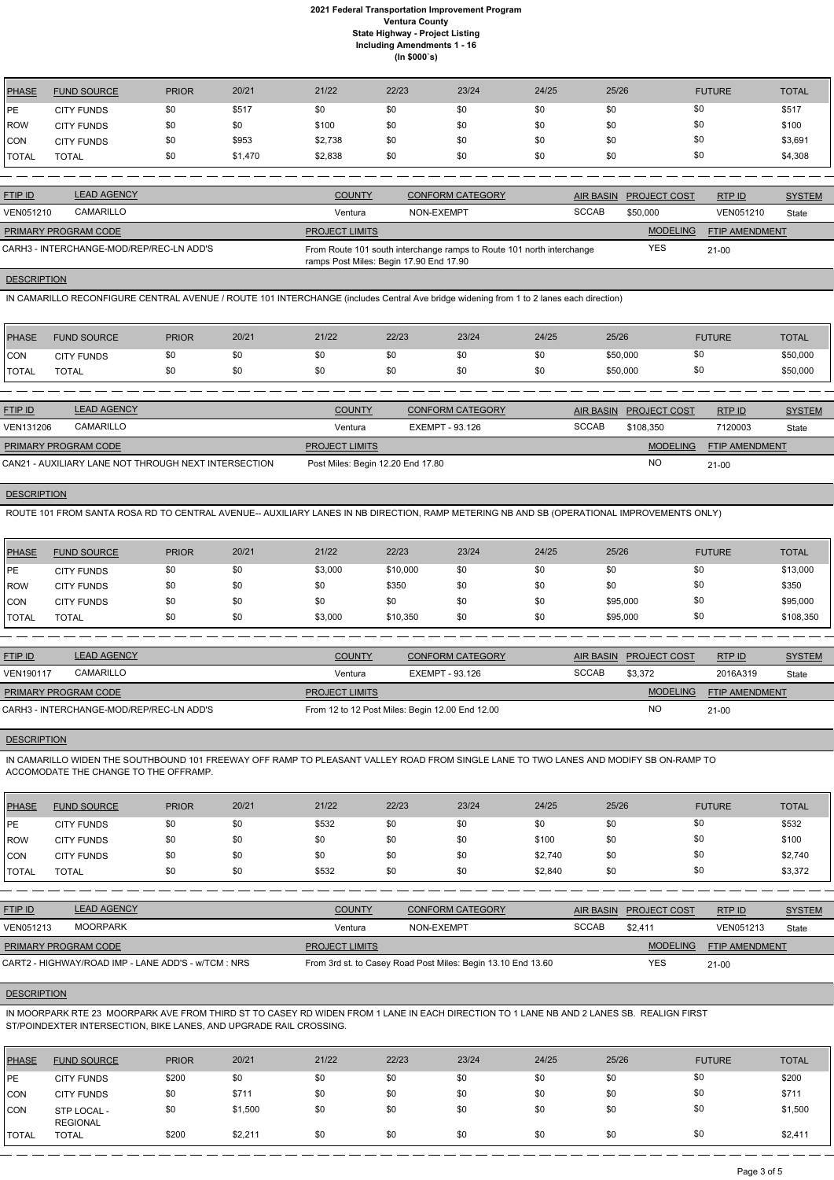| PHASE          | <b>FUND SOURCE</b> | <b>PRIOR</b> | 20/21   | 21/22   | 22/23 | 23/24 | 24/25 | 25/26 | <b>FUTURE</b> | <b>TOTAL</b> |
|----------------|--------------------|--------------|---------|---------|-------|-------|-------|-------|---------------|--------------|
| PE             | <b>CITY FUNDS</b>  | \$0          | \$517   | \$0     | \$0   | \$0   | \$0   | \$0   | \$0           | \$517        |
| <b>IROW</b>    | <b>CITY FUNDS</b>  | \$0          | \$0     | \$100   | \$0   | \$0   | \$0   | \$0   | \$0           | \$100        |
| CON            | <b>CITY FUNDS</b>  | \$0          | \$953   | \$2,738 | \$0   | \$0   | \$0   | \$0   | \$0           | \$3,691      |
| <b>I</b> TOTAL | <b>TOTAL</b>       | \$0          | \$1,470 | \$2,838 | \$0   | \$0   | \$0   | \$0   | \$0           | \$4,308      |

| <b>FTIP ID</b>              | <b>LEAD AGENCY</b>                       | <b>COUNTY</b>                           | <b>CONFORM CATEGORY</b>                                               |              | AIR BASIN PROJECT COST | RTP ID         | <b>SYSTEM</b> |
|-----------------------------|------------------------------------------|-----------------------------------------|-----------------------------------------------------------------------|--------------|------------------------|----------------|---------------|
| VEN051210                   | CAMARILLO                                | Ventura                                 | NON-EXEMPT                                                            | <b>SCCAB</b> | \$50,000               | VEN051210      | State         |
| <b>PRIMARY PROGRAM CODE</b> |                                          | <b>PROJECT LIMITS</b>                   |                                                                       |              | <b>MODELING</b>        | FTIP AMENDMENT |               |
|                             | CARH3 - INTERCHANGE-MOD/REP/REC-LN ADD'S | ramps Post Miles: Begin 17.90 End 17.90 | From Route 101 south interchange ramps to Route 101 north interchange |              | YES                    | $21 - 00$      |               |

#### **DESCRIPTION**

IN CAMARILLO RECONFIGURE CENTRAL AVENUE / ROUTE 101 INTERCHANGE (includes Central Ave bridge widening from 1 to 2 lanes each direction)

| PHASE        | <b>FUND SOURCE</b> | <b>PRIOR</b> | 20/21 | 21/22 | 22/23 | 23/24 | 24/25 | 25/26    | <b>FUTURE</b> | <b>TOTAL</b> |
|--------------|--------------------|--------------|-------|-------|-------|-------|-------|----------|---------------|--------------|
| CON          | <b>CITY FUNDS</b>  | \$0          |       | \$0   | \$0   |       | \$0   | \$50,000 | \$0           | \$50,000     |
| <b>TOTAL</b> | <b>TOTAL</b>       | \$0          |       | \$0   | \$0   | \$0   | \$Ο   | \$50,000 | \$0           | \$50,000     |

| <b>FTIP ID</b>              | <b>LEAD AGENCY</b>                                   | <b>COUNTY</b>                     | <b>CONFORM CATEGORY</b> |              | AIR BASIN PROJECT COST | RTPID                 | <b>SYSTEM</b> |
|-----------------------------|------------------------------------------------------|-----------------------------------|-------------------------|--------------|------------------------|-----------------------|---------------|
| VEN131206                   | CAMARILLO                                            | Ventura                           | EXEMPT - 93.126         | <b>SCCAB</b> | \$108.350              | 7120003               | State         |
| <b>PRIMARY PROGRAM CODE</b> |                                                      | <b>PROJECT LIMITS</b>             |                         |              | <b>MODELING</b>        | <b>FTIP AMENDMENT</b> |               |
|                             | CAN21 - AUXILIARY LANE NOT THROUGH NEXT INTERSECTION | Post Miles: Begin 12.20 End 17.80 |                         |              | NO.                    | $21 - 00$             |               |

## **DESCRIPTION**

ROUTE 101 FROM SANTA ROSA RD TO CENTRAL AVENUE-- AUXILIARY LANES IN NB DIRECTION, RAMP METERING NB AND SB (OPERATIONAL IMPROVEMENTS ONLY)

| <b>PHASE</b> | <b>FUND SOURCE</b> | <b>PRIOR</b> | 20/21 | 21/22   | 22/23    | 23/24 | 24/25 | 25/26    | <b>FUTURE</b> | <b>TOTAL</b> |
|--------------|--------------------|--------------|-------|---------|----------|-------|-------|----------|---------------|--------------|
| PE           | <b>CITY FUNDS</b>  | \$0          | \$0   | \$3,000 | \$10,000 | \$0   | \$0   | \$0      | \$0           | \$13,000     |
| <b>ROW</b>   | <b>CITY FUNDS</b>  | \$0          | \$0   | \$0     | \$350    | \$0   | \$0   | \$0      | \$0           | \$350        |
| <b>'CON</b>  | <b>CITY FUNDS</b>  | \$0          | \$0   | \$0     | \$0      | \$0   | \$0   | \$95,000 | \$0           | \$95,000     |
| <b>TOTAL</b> | <b>TOTAL</b>       | \$0          | \$0   | \$3,000 | \$10,350 | \$0   | \$0   | \$95,000 | \$0           | \$108,350    |

| <b>FTIP ID</b>              | <b>LEAD AGENCY</b>                       | <b>COUNTY</b>         | <b>CONFORM CATEGORY</b>                         | AIR BASIN    | <b>PROJECT COST</b> | RTP ID                | <b>SYSTEM</b> |
|-----------------------------|------------------------------------------|-----------------------|-------------------------------------------------|--------------|---------------------|-----------------------|---------------|
| <b>VEN190117</b>            | CAMARILLO                                | Ventura               | EXEMPT - 93.126                                 | <b>SCCAB</b> | \$3,372             | 2016A319              | State         |
| <b>PRIMARY PROGRAM CODE</b> |                                          | <b>PROJECT LIMITS</b> |                                                 |              | <b>MODELING</b>     | <b>FTIP AMENDMENT</b> |               |
|                             | CARH3 - INTERCHANGE-MOD/REP/REC-LN ADD'S |                       | From 12 to 12 Post Miles: Begin 12.00 End 12.00 |              | <b>NO</b>           | $21 - 00$             |               |

#### **DESCRIPTION**

IN CAMARILLO WIDEN THE SOUTHBOUND 101 FREEWAY OFF RAMP TO PLEASANT VALLEY ROAD FROM SINGLE LANE TO TWO LANES AND MODIFY SB ON-RAMP TO ACCOMODATE THE CHANGE TO THE OFFRAMP.

| PHASE         | <b>FUND SOURCE</b> | <b>PRIOR</b> | 20/21 | 21/22 | 22/23 | 23/24 | 24/25   | 25/26 | <b>FUTURE</b> | <b>TOTAL</b> |
|---------------|--------------------|--------------|-------|-------|-------|-------|---------|-------|---------------|--------------|
| <b>IPE</b>    | <b>CITY FUNDS</b>  |              | \$0   | \$532 | \$0   | \$0   | \$0     | \$0   | \$0           | \$532        |
| <b>ROW</b>    | <b>CITY FUNDS</b>  |              | \$0   | \$0   | \$0   | \$0   | \$100   | \$0   | \$0           | \$100        |
| <b>CON</b>    | <b>CITY FUNDS</b>  |              | \$0   | \$0   | \$0   | \$0   | \$2,740 | \$0   | \$0           | \$2,740      |
| <b>ITOTAL</b> | TOTAL              |              | \$0   | \$532 | \$0   | \$0   | \$2,840 | \$0   | \$0           | \$3,372      |

| <b>FTIP ID</b>              | <b>LEAD AGENCY</b>                                  | <b>COUNTY</b>         | <b>CONFORM CATEGORY</b>                                      | <b>AIR BASIN</b> | <b>PROJECT COST</b> | RTP ID                | <b>SYSTEM</b> |
|-----------------------------|-----------------------------------------------------|-----------------------|--------------------------------------------------------------|------------------|---------------------|-----------------------|---------------|
| VEN051213                   | MOORPARK                                            | Ventura               | NON-EXEMPT                                                   | <b>SCCAB</b>     | \$2.411             | VEN051213             | State         |
| <b>PRIMARY PROGRAM CODE</b> |                                                     | <b>PROJECT LIMITS</b> |                                                              |                  | <b>MODELING</b>     | <b>FTIP AMENDMENT</b> |               |
|                             | CART2 - HIGHWAY/ROAD IMP - LANE ADD'S - w/TCM : NRS |                       | From 3rd st. to Casey Road Post Miles: Begin 13.10 End 13.60 |                  | YES                 | $21 - 00$             |               |

## **DESCRIPTION**

IN MOORPARK RTE 23 MOORPARK AVE FROM THIRD ST TO CASEY RD WIDEN FROM 1 LANE IN EACH DIRECTION TO 1 LANE NB AND 2 LANES SB. REALIGN FIRST ST/POINDEXTER INTERSECTION, BIKE LANES, AND UPGRADE RAIL CROSSING.

| <b>PHASE</b> | <b>FUND SOURCE</b>             | <b>PRIOR</b> | 20/21   | 21/22 | 22/23 | 23/24 | 24/25 | 25/26 | <b>FUTURE</b> | <b>TOTAL</b> |
|--------------|--------------------------------|--------------|---------|-------|-------|-------|-------|-------|---------------|--------------|
| <b>IPE</b>   | <b>CITY FUNDS</b>              | \$200        | \$0     | \$0   | \$0   | \$0   | \$0   | \$0   | \$0           | \$200        |
| CON          | <b>CITY FUNDS</b>              | \$0          | \$71'   | \$0   | \$0   | \$0   | \$0   | \$0   | \$0           | \$711        |
| <b>CON</b>   | STP LOCAL -<br><b>REGIONAL</b> | \$0          | \$1,500 | \$0   | \$0   | \$0   | \$0   | \$0   | \$0           | \$1,500      |
| <b>TOTAL</b> | <b>TOTAL</b>                   | \$200        | \$2,21' | \$0   | \$0   | \$0   | \$0   | \$0   | \$0           | \$2,411      |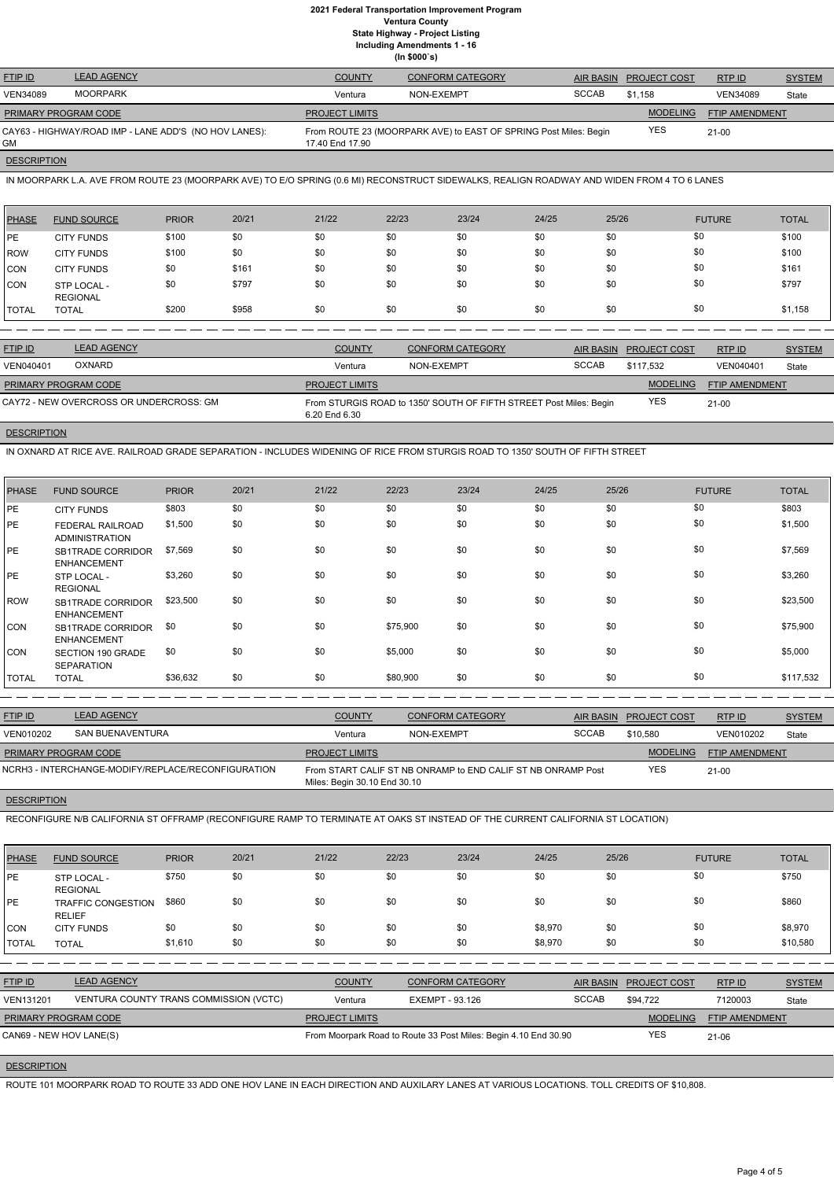| <b>FTIP ID</b>              | <b>LEAD AGENCY</b>                                    | <b>COUNTY</b>         | <b>CONFORM CATEGORY</b>                                          | <b>AIR BASIN</b> | <b>PROJECT COST</b> | RTPID                 | <b>SYSTEM</b> |
|-----------------------------|-------------------------------------------------------|-----------------------|------------------------------------------------------------------|------------------|---------------------|-----------------------|---------------|
| <b>VEN34089</b>             | <b>MOORPARK</b>                                       | Ventura               | NON-EXEMPT                                                       | <b>SCCAB</b>     | \$1.158             | <b>VEN34089</b>       | State         |
| <b>PRIMARY PROGRAM CODE</b> |                                                       | <b>PROJECT LIMITS</b> |                                                                  |                  | <b>MODELING</b>     | <b>FTIP AMENDMENT</b> |               |
| GM                          | CAY63 - HIGHWAY/ROAD IMP - LANE ADD'S (NO HOV LANES): | 17.40 End 17.90       | From ROUTE 23 (MOORPARK AVE) to EAST OF SPRING Post Miles: Begin |                  | <b>YES</b>          | $21 - 00$             |               |
|                             |                                                       |                       |                                                                  |                  |                     |                       |               |

## **DESCRIPTION**

IN MOORPARK L.A. AVE FROM ROUTE 23 (MOORPARK AVE) TO E/O SPRING (0.6 MI) RECONSTRUCT SIDEWALKS, REALIGN ROADWAY AND WIDEN FROM 4 TO 6 LANES

| PHASE   | <b>FUND SOURCE</b>             | <b>PRIOR</b> | 20/21 | 21/22 | 22/23 | 23/24 | 24/25 | 25/26 | <b>FUTURE</b> | <b>TOTAL</b> |
|---------|--------------------------------|--------------|-------|-------|-------|-------|-------|-------|---------------|--------------|
| IPE.    | <b>CITY FUNDS</b>              | \$100        | \$0   | \$0   | \$0   | \$0   | \$0   | \$0   | \$0           | \$100        |
| ROW     | <b>CITY FUNDS</b>              | \$100        | \$0   | \$0   | \$0   | \$0   | \$0   | \$0   | \$0           | \$100        |
| CON     | <b>CITY FUNDS</b>              | \$0          | \$161 | \$0   | \$0   | \$0   | \$0   | \$0   | \$0           | \$161        |
| CON     | STP LOCAL -<br><b>REGIONAL</b> | \$0          | \$797 | \$0   | \$0   | \$0   | \$0   | \$0   | \$0           | \$797        |
| I TOTAL | <b>TOTAL</b>                   | \$200        | \$958 | \$0   | \$0   | \$0   | \$0   | \$0   | \$0           | \$1,158      |

| <b>FTIP ID</b>              | <b>LEAD AGENCY</b>                      | <b>COUNTY</b>                                                                       | <b>CONFORM CATEGORY</b> | <b>AIR BASIN</b> | <b>PROJECT COST</b> | RTPID                 | <b>SYSTEM</b> |
|-----------------------------|-----------------------------------------|-------------------------------------------------------------------------------------|-------------------------|------------------|---------------------|-----------------------|---------------|
| VEN040401                   | <b>OXNARD</b>                           | Ventura                                                                             | NON-EXEMPT              | <b>SCCAB</b>     | \$117.532           | VEN040401             | State         |
| <b>PRIMARY PROGRAM CODE</b> |                                         | <b>PROJECT LIMITS</b>                                                               |                         |                  | <b>MODELING</b>     | <b>FTIP AMENDMENT</b> |               |
|                             | CAY72 - NEW OVERCROSS OR UNDERCROSS: GM | From STURGIS ROAD to 1350' SOUTH OF FIFTH STREET Post Miles: Begin<br>6.20 End 6.30 | YES                     | 21-00            |                     |                       |               |

## **DESCRIPTION**

IN OXNARD AT RICE AVE. RAILROAD GRADE SEPARATION - INCLUDES WIDENING OF RICE FROM STURGIS ROAD TO 1350' SOUTH OF FIFTH STREET

| <b>PHASE</b> | <b>FUND SOURCE</b>                               | <b>PRIOR</b> | 20/21 | 21/22 | 22/23    | 23/24 | 24/25 | 25/26 | <b>FUTURE</b> | <b>TOTAL</b> |
|--------------|--------------------------------------------------|--------------|-------|-------|----------|-------|-------|-------|---------------|--------------|
| PE           | <b>CITY FUNDS</b>                                | \$803        | \$0   | \$0   | \$0      | \$0   | \$0   | \$0   | \$0           | \$803        |
| PE           | <b>FEDERAL RAILROAD</b><br><b>ADMINISTRATION</b> | \$1,500      | \$0   | \$0   | \$0      | \$0   | \$0   | \$0   | \$0           | \$1,500      |
| I PE         | <b>SB1TRADE CORRIDOR</b><br><b>ENHANCEMENT</b>   | \$7,569      | \$0   | \$0   | \$0      | \$0   | \$0   | \$0   | \$0           | \$7,569      |
| PE           | STP LOCAL -<br><b>REGIONAL</b>                   | \$3,260      | \$0   | \$0   | \$0      | \$0   | \$0   | \$0   | \$0           | \$3,260      |
| <b>ROW</b>   | <b>SB1TRADE CORRIDOR</b><br><b>ENHANCEMENT</b>   | \$23,500     | \$0   | \$0   | \$0      | \$0   | \$0   | \$0   | \$0           | \$23,500     |
| <b>CON</b>   | SB1TRADE CORRIDOR<br><b>ENHANCEMENT</b>          | \$0          | \$0   | \$0   | \$75,900 | \$0   | \$0   | \$0   | \$0           | \$75,900     |
| <b>CON</b>   | <b>SECTION 190 GRADE</b><br><b>SEPARATION</b>    | \$0          | \$0   | \$0   | \$5,000  | \$0   | \$0   | \$0   | \$0           | \$5,000      |
| <b>TOTAL</b> | <b>TOTAL</b>                                     | \$36,632     | \$0   | \$0   | \$80,900 | \$0   | \$0   | \$0   | \$0           | \$117,532    |

| <b>FTIP ID</b>              | <b>LEAD AGENCY</b>                                 | <b>COUNTY</b>                | <b>CONFORM CATEGORY</b>                                      | <b>AIR BASIN</b> | <b>PROJECT COST</b> | RTP ID                | <b>SYSTEM</b> |
|-----------------------------|----------------------------------------------------|------------------------------|--------------------------------------------------------------|------------------|---------------------|-----------------------|---------------|
| VEN010202                   | SAN BUENAVENTURA                                   | Ventura                      | NON-EXEMPT                                                   | <b>SCCAB</b>     | \$10,580            | VEN010202             | State         |
| <b>PRIMARY PROGRAM CODE</b> |                                                    | <b>PROJECT LIMITS</b>        |                                                              |                  | <b>MODELING</b>     | <b>FTIP AMENDMENT</b> |               |
|                             | NCRH3 - INTERCHANGE-MODIFY/REPLACE/RECONFIGURATION | Miles: Begin 30.10 End 30.10 | From START CALIF ST NB ONRAMP to END CALIF ST NB ONRAMP Post |                  | <b>YES</b>          | $21 - 00$             |               |

## **DESCRIPTION**

RECONFIGURE N/B CALIFORNIA ST OFFRAMP (RECONFIGURE RAMP TO TERMINATE AT OAKS ST INSTEAD OF THE CURRENT CALIFORNIA ST LOCATION)

| <b>PHASE</b> | <b>FUND SOURCE</b>             | <b>PRIOR</b> | 20/21 | 21/22 | 22/23 | 23/24 | 24/25 | 25/26 | <b>FUTURE</b> | <b>TOTAL</b> |
|--------------|--------------------------------|--------------|-------|-------|-------|-------|-------|-------|---------------|--------------|
| <b>PE</b>    | STP LOCAL -<br><b>REGIONAL</b> | \$750        |       | \$0   | \$0   |       | \$0   | \$0   |               | \$750        |

| PE                          | <b>TRAFFIC CONGESTION</b><br><b>RELIEF</b> | \$860   | \$0 | \$0                   | \$0 | \$0                                                             | \$0     | \$0              | \$0                 |                       | \$860         |
|-----------------------------|--------------------------------------------|---------|-----|-----------------------|-----|-----------------------------------------------------------------|---------|------------------|---------------------|-----------------------|---------------|
| <b>CON</b>                  | <b>CITY FUNDS</b>                          | \$0     | \$0 | \$0                   | \$0 | \$0                                                             | \$8,970 | \$0              | \$0                 |                       | \$8,970       |
| <b>TOTAL</b>                | <b>TOTAL</b>                               | \$1,610 | \$0 | \$0                   | \$0 | \$0                                                             | \$8,970 | \$0              | \$0                 |                       | \$10,580      |
|                             |                                            |         |     |                       |     |                                                                 |         |                  |                     |                       |               |
| FTIP ID                     | <b>LEAD AGENCY</b>                         |         |     | <b>COUNTY</b>         |     | <b>CONFORM CATEGORY</b>                                         |         | <b>AIR BASIN</b> | <b>PROJECT COST</b> | RTP ID                | <b>SYSTEM</b> |
| <b>VEN131201</b>            | VENTURA COUNTY TRANS COMMISSION (VCTC)     |         |     | Ventura               |     | EXEMPT - 93.126                                                 |         | <b>SCCAB</b>     | \$94.722            | 7120003               | State         |
| <b>PRIMARY PROGRAM CODE</b> |                                            |         |     | <b>PROJECT LIMITS</b> |     |                                                                 |         |                  | <b>MODELING</b>     | <b>FTIP AMENDMENT</b> |               |
| CAN69 - NEW HOV LANE(S)     |                                            |         |     |                       |     | From Moorpark Road to Route 33 Post Miles: Begin 4.10 End 30.90 |         |                  | YES                 | $21 - 06$             |               |

## **DESCRIPTION**

ROUTE 101 MOORPARK ROAD TO ROUTE 33 ADD ONE HOV LANE IN EACH DIRECTION AND AUXILARY LANES AT VARIOUS LOCATIONS. TOLL CREDITS OF \$10,808.